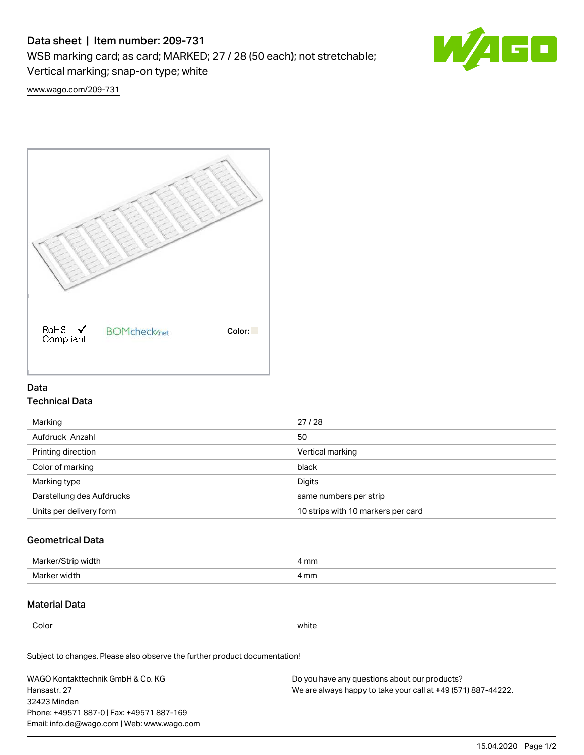# Data sheet | Item number: 209-731

WSB marking card; as card; MARKED; 27 / 28 (50 each); not stretchable;

Vertical marking; snap-on type; white



[www.wago.com/209-731](http://www.wago.com/209-731)



## Data Technical Data

| Marking                   | 27/28                              |
|---------------------------|------------------------------------|
| Aufdruck Anzahl           | 50                                 |
| Printing direction        | Vertical marking                   |
| Color of marking          | black                              |
| Marking type              | Digits                             |
| Darstellung des Aufdrucks | same numbers per strip             |
| Units per delivery form   | 10 strips with 10 markers per card |

## Geometrical Data

| Marke<br>width ا  | I mm |
|-------------------|------|
| width<br>Marker v | l mm |

### Material Data

Color white

Subject to changes. Please also observe the further product documentation!

WAGO Kontakttechnik GmbH & Co. KG Hansastr. 27 32423 Minden Phone: +49571 887-0 | Fax: +49571 887-169 Email: info.de@wago.com | Web: www.wago.com Do you have any questions about our products? We are always happy to take your call at +49 (571) 887-44222.